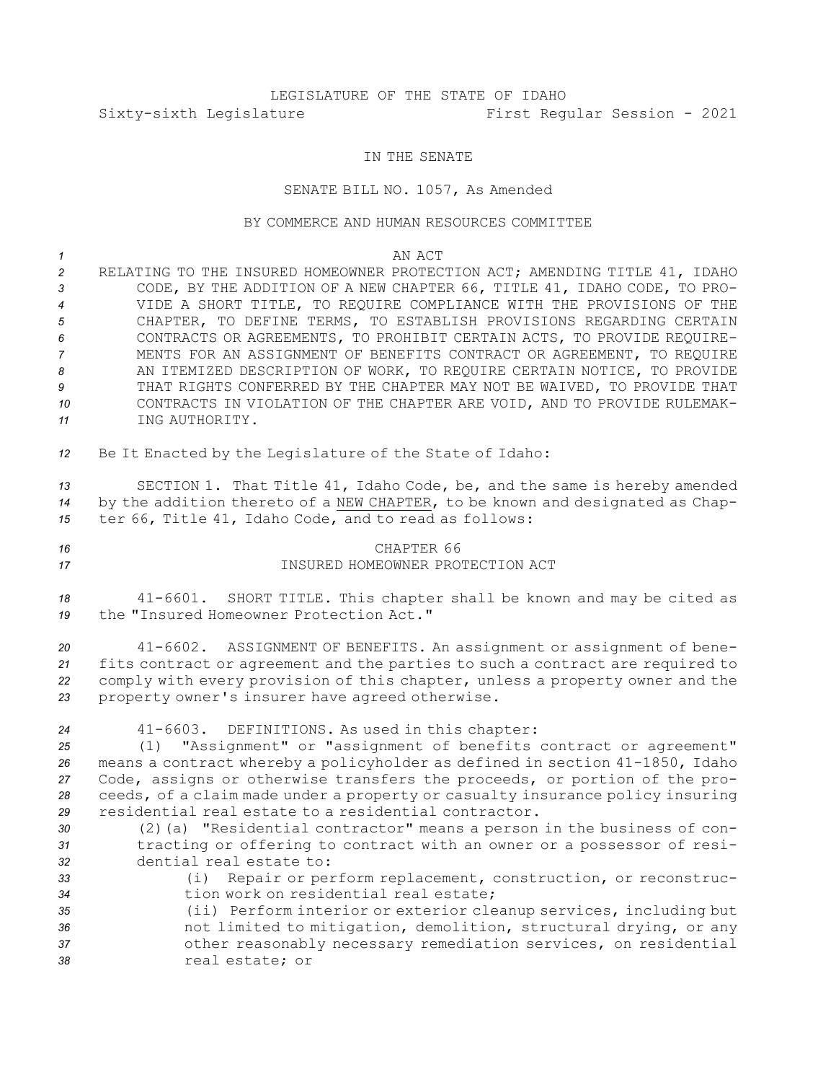## LEGISLATURE OF THE STATE OF IDAHO Sixty-sixth Legislature First Regular Session - 2021

## IN THE SENATE

## SENATE BILL NO. 1057, As Amended

## BY COMMERCE AND HUMAN RESOURCES COMMITTEE

| $\mathcal{I}$<br>$\overline{c}$<br>3<br>$\overline{4}$<br>5<br>6<br>7<br>8<br>9<br>10<br>11 | AN ACT<br>RELATING TO THE INSURED HOMEOWNER PROTECTION ACT; AMENDING TITLE 41, IDAHO<br>CODE, BY THE ADDITION OF A NEW CHAPTER 66, TITLE 41, IDAHO CODE, TO PRO-<br>VIDE A SHORT TITLE, TO REQUIRE COMPLIANCE WITH THE PROVISIONS OF THE<br>CHAPTER, TO DEFINE TERMS, TO ESTABLISH PROVISIONS REGARDING CERTAIN<br>CONTRACTS OR AGREEMENTS, TO PROHIBIT CERTAIN ACTS, TO PROVIDE REQUIRE-<br>MENTS FOR AN ASSIGNMENT OF BENEFITS CONTRACT OR AGREEMENT, TO REQUIRE<br>AN ITEMIZED DESCRIPTION OF WORK, TO REQUIRE CERTAIN NOTICE, TO PROVIDE<br>THAT RIGHTS CONFERRED BY THE CHAPTER MAY NOT BE WAIVED, TO PROVIDE THAT<br>CONTRACTS IN VIOLATION OF THE CHAPTER ARE VOID, AND TO PROVIDE RULEMAK-<br>ING AUTHORITY.              |
|---------------------------------------------------------------------------------------------|-----------------------------------------------------------------------------------------------------------------------------------------------------------------------------------------------------------------------------------------------------------------------------------------------------------------------------------------------------------------------------------------------------------------------------------------------------------------------------------------------------------------------------------------------------------------------------------------------------------------------------------------------------------------------------------------------------------------------------------|
| 12                                                                                          | Be It Enacted by the Legislature of the State of Idaho:                                                                                                                                                                                                                                                                                                                                                                                                                                                                                                                                                                                                                                                                           |
| 13<br>14<br>15                                                                              | SECTION 1. That Title 41, Idaho Code, be, and the same is hereby amended<br>by the addition thereto of a NEW CHAPTER, to be known and designated as Chap-<br>ter 66, Title 41, Idaho Code, and to read as follows:                                                                                                                                                                                                                                                                                                                                                                                                                                                                                                                |
| 16<br>17                                                                                    | CHAPTER 66<br>INSURED HOMEOWNER PROTECTION ACT                                                                                                                                                                                                                                                                                                                                                                                                                                                                                                                                                                                                                                                                                    |
| 18<br>19                                                                                    | SHORT TITLE. This chapter shall be known and may be cited as<br>41-6601.<br>the "Insured Homeowner Protection Act."                                                                                                                                                                                                                                                                                                                                                                                                                                                                                                                                                                                                               |
| 20<br>21<br>22<br>23                                                                        | ASSIGNMENT OF BENEFITS. An assignment or assignment of bene-<br>$41 - 6602$ .<br>fits contract or agreement and the parties to such a contract are required to<br>comply with every provision of this chapter, unless a property owner and the<br>property owner's insurer have agreed otherwise.                                                                                                                                                                                                                                                                                                                                                                                                                                 |
| 24<br>25<br>26<br>27<br>28<br>29<br>30<br>31<br>32<br>33<br>34                              | $41 - 6603$ .<br>DEFINITIONS. As used in this chapter:<br>(1) "Assignment" or "assignment of benefits contract or agreement"<br>means a contract whereby a policyholder as defined in section 41-1850, Idaho<br>Code, assigns or otherwise transfers the proceeds, or portion of the pro-<br>ceeds, of a claim made under a property or casualty insurance policy insuring<br>residential real estate to a residential contractor.<br>(2) (a) "Residential contractor" means a person in the business of con-<br>tracting or offering to contract with an owner or a possessor of resi-<br>dential real estate to:<br>Repair or perform replacement, construction, or reconstruc-<br>(i)<br>tion work on residential real estate; |
| 35<br>36                                                                                    | (ii) Perform interior or exterior cleanup services, including but<br>not limited to mitigation, demolition, structural drying, or any                                                                                                                                                                                                                                                                                                                                                                                                                                                                                                                                                                                             |

*<sup>37</sup>* other reasonably necessary remediation services, on residential *38* real estate; or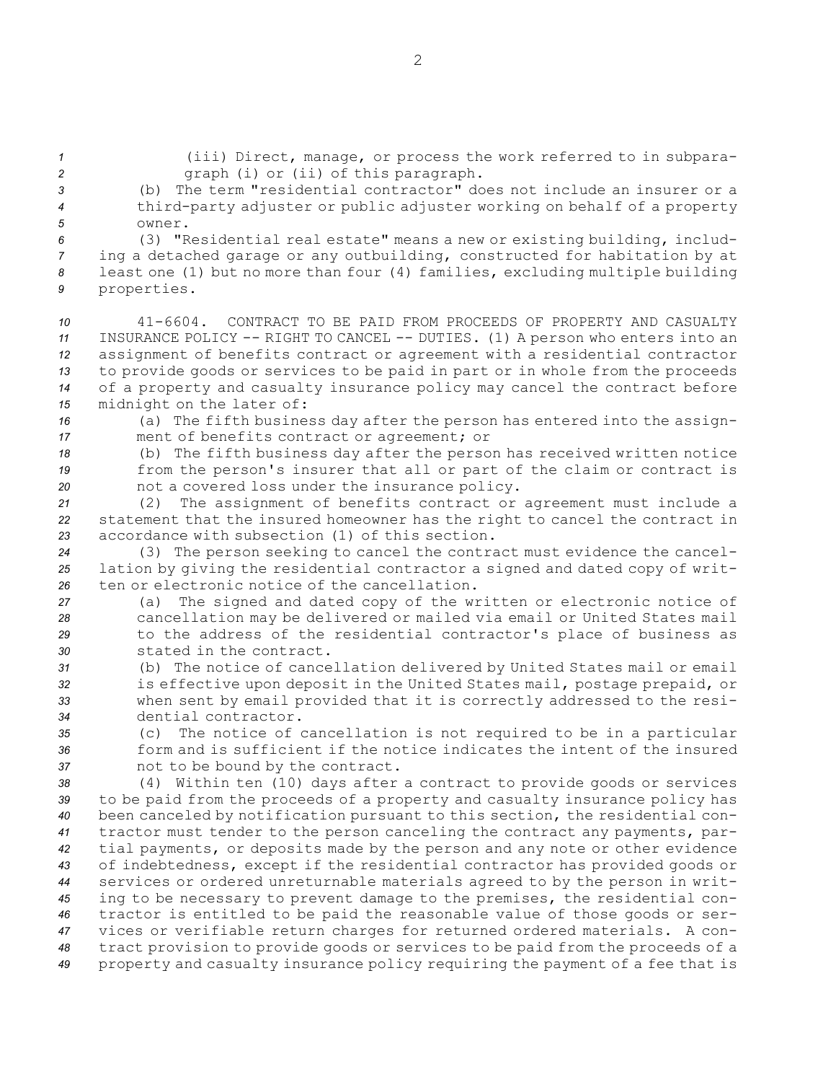(b) The term "residential contractor" does not include an insurer or <sup>a</sup> third-party adjuster or public adjuster working on behalf of <sup>a</sup> property *5* owner. (3) "Residential real estate" means <sup>a</sup> new or existing building, includ- ing <sup>a</sup> detached garage or any outbuilding, constructed for habitation by at least one (1) but no more than four (4) families, excluding multiple building properties.

*<sup>1</sup>* (iii) Direct, manage, or process the work referred to in subpara-

*<sup>2</sup>* graph (i) or (ii) of this paragraph.

 41-6604. CONTRACT TO BE PAID FROM PROCEEDS OF PROPERTY AND CASUALTY INSURANCE POLICY -- RIGHT TO CANCEL -- DUTIES. (1) <sup>A</sup> person who enters into an assignment of benefits contract or agreement with <sup>a</sup> residential contractor to provide goods or services to be paid in part or in whole from the proceeds of <sup>a</sup> property and casualty insurance policy may cancel the contract before midnight on the later of:

*<sup>16</sup>* (a) The fifth business day after the person has entered into the assign-*<sup>17</sup>* ment of benefits contract or agreement; or

*<sup>18</sup>* (b) The fifth business day after the person has received written notice *<sup>19</sup>* from the person's insurer that all or part of the claim or contract is *<sup>20</sup>* not <sup>a</sup> covered loss under the insurance policy.

*<sup>21</sup>* (2) The assignment of benefits contract or agreement must include <sup>a</sup> *<sup>22</sup>* statement that the insured homeowner has the right to cancel the contract in *23* accordance with subsection (1) of this section.

*<sup>24</sup>* (3) The person seeking to cancel the contract must evidence the cancel-*<sup>25</sup>* lation by giving the residential contractor <sup>a</sup> signed and dated copy of writ-*26* ten or electronic notice of the cancellation.

- *<sup>27</sup>* (a) The signed and dated copy of the written or electronic notice of *<sup>28</sup>* cancellation may be delivered or mailed via email or United States mail *<sup>29</sup>* to the address of the residential contractor's place of business as *30* stated in the contract.
- *<sup>31</sup>* (b) The notice of cancellation delivered by United States mail or email *<sup>32</sup>* is effective upon deposit in the United States mail, postage prepaid, or *<sup>33</sup>* when sent by email provided that it is correctly addressed to the resi-*34* dential contractor.

*<sup>35</sup>* (c) The notice of cancellation is not required to be in <sup>a</sup> particular *36* form and is sufficient if the notice indicates the intent of the insured *<sup>37</sup>* not to be bound by the contract.

 (4) Within ten (10) days after <sup>a</sup> contract to provide goods or services to be paid from the proceeds of <sup>a</sup> property and casualty insurance policy has been canceled by notification pursuant to this section, the residential con- tractor must tender to the person canceling the contract any payments, par- tial payments, or deposits made by the person and any note or other evidence of indebtedness, except if the residential contractor has provided goods or services or ordered unreturnable materials agreed to by the person in writ- ing to be necessary to prevent damage to the premises, the residential con- tractor is entitled to be paid the reasonable value of those goods or ser- vices or verifiable return charges for returned ordered materials. <sup>A</sup> con- tract provision to provide goods or services to be paid from the proceeds of <sup>a</sup> property and casualty insurance policy requiring the payment of <sup>a</sup> fee that is

2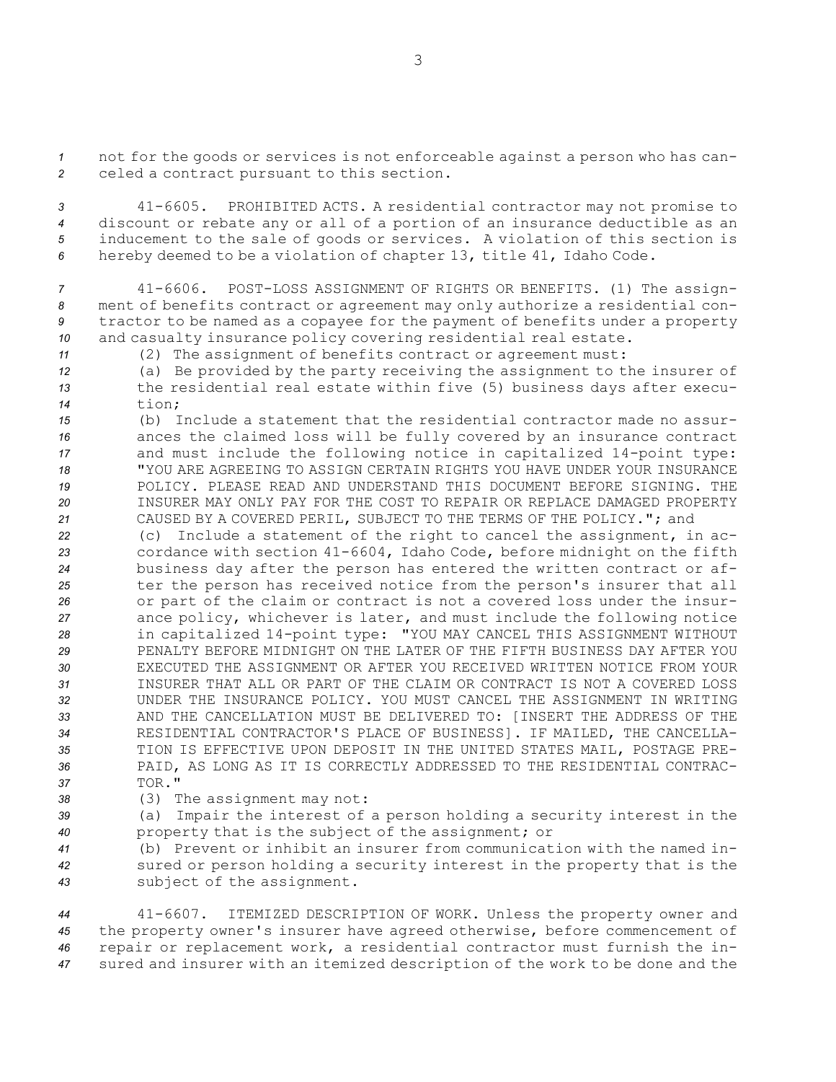*<sup>1</sup>* not for the goods or services is not enforceable against <sup>a</sup> person who has can-*<sup>2</sup>* celed <sup>a</sup> contract pursuant to this section.

 41-6605. PROHIBITED ACTS. <sup>A</sup> residential contractor may not promise to discount or rebate any or all of <sup>a</sup> portion of an insurance deductible as an inducement to the sale of goods or services. <sup>A</sup> violation of this section is hereby deemed to be <sup>a</sup> violation of chapter 13, title 41, Idaho Code.

 41-6606. POST-LOSS ASSIGNMENT OF RIGHTS OR BENEFITS. (1) The assign- ment of benefits contract or agreement may only authorize <sup>a</sup> residential con- tractor to be named as <sup>a</sup> copayee for the payment of benefits under <sup>a</sup> property and casualty insurance policy covering residential real estate.

*<sup>11</sup>* (2) The assignment of benefits contract or agreement must:

*<sup>12</sup>* (a) Be provided by the party receiving the assignment to the insurer of *<sup>13</sup>* the residential real estate within five (5) business days after execu-*14* tion;

 (b) Include <sup>a</sup> statement that the residential contractor made no assur- ances the claimed loss will be fully covered by an insurance contract and must include the following notice in capitalized 14-point type: "YOU ARE AGREEING TO ASSIGN CERTAIN RIGHTS YOU HAVE UNDER YOUR INSURANCE POLICY. PLEASE READ AND UNDERSTAND THIS DOCUMENT BEFORE SIGNING. THE INSURER MAY ONLY PAY FOR THE COST TO REPAIR OR REPLACE DAMAGED PROPERTY CAUSED BY A COVERED PERIL, SUBJECT TO THE TERMS OF THE POLICY."; and

- *<sup>22</sup>* (c) Include <sup>a</sup> statement of the right to cancel the assignment, in ac-*<sup>23</sup>* cordance with section 41-6604, Idaho Code, before midnight on the fifth *<sup>24</sup>* business day after the person has entered the written contract or af-*<sup>25</sup>* ter the person has received notice from the person's insurer that all *<sup>26</sup>* or part of the claim or contract is not <sup>a</sup> covered loss under the insur-*<sup>27</sup>* ance policy, whichever is later, and must include the following notice *<sup>28</sup>* in capitalized 14-point type: "YOU MAY CANCEL THIS ASSIGNMENT WITHOUT *29* PENALTY BEFORE MIDNIGHT ON THE LATER OF THE FIFTH BUSINESS DAY AFTER YOU *30* EXECUTED THE ASSIGNMENT OR AFTER YOU RECEIVED WRITTEN NOTICE FROM YOUR *31* INSURER THAT ALL OR PART OF THE CLAIM OR CONTRACT IS NOT A COVERED LOSS *32* UNDER THE INSURANCE POLICY. YOU MUST CANCEL THE ASSIGNMENT IN WRITING *33* AND THE CANCELLATION MUST BE DELIVERED TO: [INSERT THE ADDRESS OF THE *34* RESIDENTIAL CONTRACTOR'S PLACE OF BUSINESS]. IF MAILED, THE CANCELLA-*35* TION IS EFFECTIVE UPON DEPOSIT IN THE UNITED STATES MAIL, POSTAGE PRE-*36* PAID, AS LONG AS IT IS CORRECTLY ADDRESSED TO THE RESIDENTIAL CONTRAC-*37* TOR."
- *<sup>38</sup>* (3) The assignment may not:

*<sup>39</sup>* (a) Impair the interest of <sup>a</sup> person holding <sup>a</sup> security interest in the *<sup>40</sup>* property that is the subject of the assignment; or

*<sup>41</sup>* (b) Prevent or inhibit an insurer from communication with the named in-*<sup>42</sup>* sured or person holding <sup>a</sup> security interest in the property that is the *<sup>43</sup>* subject of the assignment.

 41-6607. ITEMIZED DESCRIPTION OF WORK. Unless the property owner and the property owner's insurer have agreed otherwise, before commencement of repair or replacement work, <sup>a</sup> residential contractor must furnish the in-sured and insurer with an itemized description of the work to be done and the

3